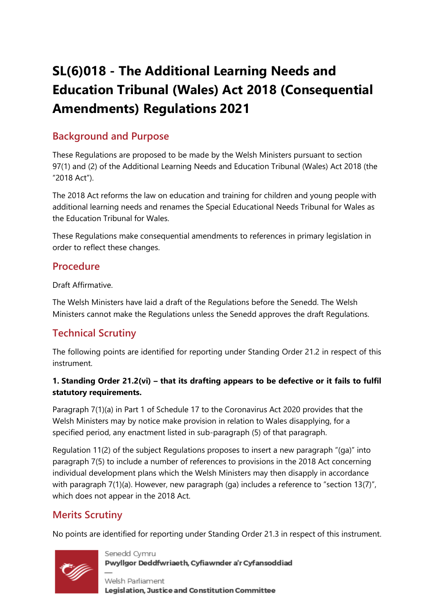# **SL(6)018 - The Additional Learning Needs and Education Tribunal (Wales) Act 2018 (Consequential Amendments) Regulations 2021**

## **Background and Purpose**

These Regulations are proposed to be made by the Welsh Ministers pursuant to section 97(1) and (2) of the Additional Learning Needs and Education Tribunal (Wales) Act 2018 (the "2018 Act").

The 2018 Act reforms the law on education and training for children and young people with additional learning needs and renames the Special Educational Needs Tribunal for Wales as the Education Tribunal for Wales.

These Regulations make consequential amendments to references in primary legislation in order to reflect these changes.

### **Procedure**

Draft Affirmative.

The Welsh Ministers have laid a draft of the Regulations before the Senedd. The Welsh Ministers cannot make the Regulations unless the Senedd approves the draft Regulations.

### **Technical Scrutiny**

The following points are identified for reporting under Standing Order 21.2 in respect of this instrument.

#### **1. Standing Order 21.2(vi) – that its drafting appears to be defective or it fails to fulfil statutory requirements.**

Paragraph 7(1)(a) in Part 1 of Schedule 17 to the Coronavirus Act 2020 provides that the Welsh Ministers may by notice make provision in relation to Wales disapplying, for a specified period, any enactment listed in sub-paragraph (5) of that paragraph.

Regulation 11(2) of the subject Regulations proposes to insert a new paragraph "(ga)" into paragraph 7(5) to include a number of references to provisions in the 2018 Act concerning individual development plans which the Welsh Ministers may then disapply in accordance with paragraph 7(1)(a). However, new paragraph (ga) includes a reference to "section 13(7)", which does not appear in the 2018 Act.

## **Merits Scrutiny**

No points are identified for reporting under Standing Order 21.3 in respect of this instrument.



Senedd Cymru Pwyllgor Deddfwriaeth, Cyfiawnder a'r Cyfansoddiad

Welsh Parliament Legislation, Justice and Constitution Committee